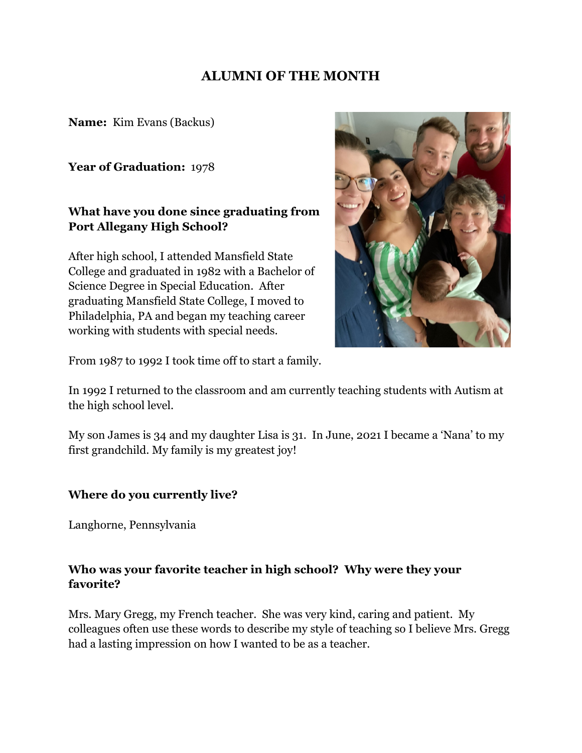## **ALUMNI OF THE MONTH**

**Name:** Kim Evans (Backus)

**Year of Graduation:** 1978

### **What have you done since graduating from Port Allegany High School?**

After high school, I attended Mansfield State College and graduated in 1982 with a Bachelor of Science Degree in Special Education. After graduating Mansfield State College, I moved to Philadelphia, PA and began my teaching career working with students with special needs.



From 1987 to 1992 I took time off to start a family.

In 1992 I returned to the classroom and am currently teaching students with Autism at the high school level.

My son James is 34 and my daughter Lisa is 31. In June, 2021 I became a 'Nana' to my first grandchild. My family is my greatest joy!

#### **Where do you currently live?**

Langhorne, Pennsylvania

### **Who was your favorite teacher in high school? Why were they your favorite?**

Mrs. Mary Gregg, my French teacher. She was very kind, caring and patient. My colleagues often use these words to describe my style of teaching so I believe Mrs. Gregg had a lasting impression on how I wanted to be as a teacher.